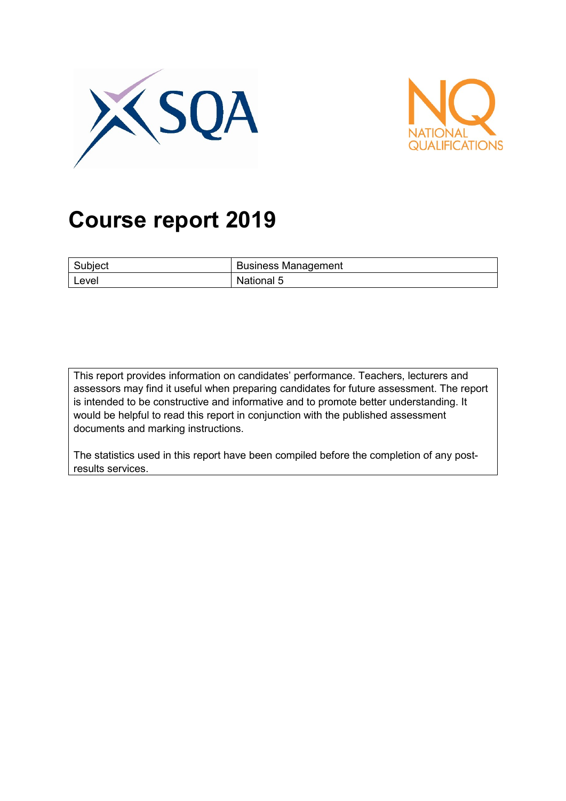



# **Course report 2019**

| Subject | <b>Business Management</b> |
|---------|----------------------------|
| Level   | National 5                 |

This report provides information on candidates' performance. Teachers, lecturers and assessors may find it useful when preparing candidates for future assessment. The report is intended to be constructive and informative and to promote better understanding. It would be helpful to read this report in conjunction with the published assessment documents and marking instructions.

The statistics used in this report have been compiled before the completion of any postresults services.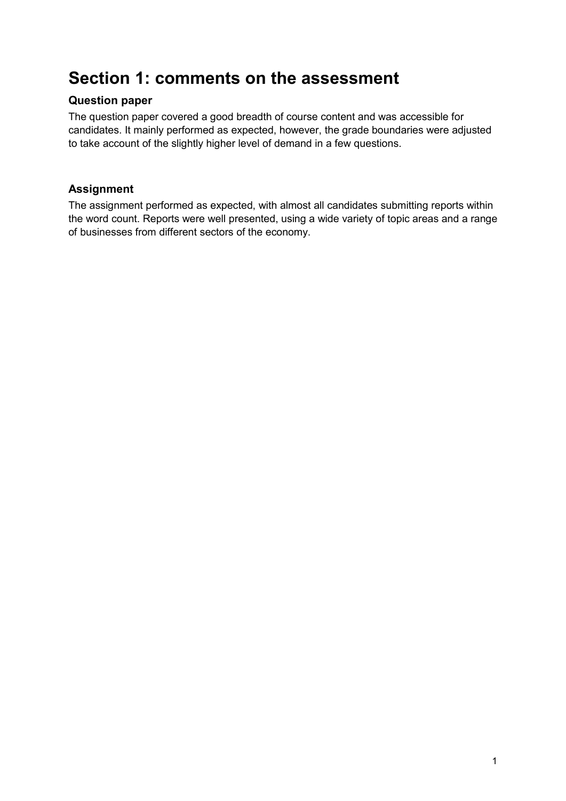## **Section 1: comments on the assessment**

#### **Question paper**

The question paper covered a good breadth of course content and was accessible for candidates. It mainly performed as expected, however, the grade boundaries were adjusted to take account of the slightly higher level of demand in a few questions.

#### **Assignment**

The assignment performed as expected, with almost all candidates submitting reports within the word count. Reports were well presented, using a wide variety of topic areas and a range of businesses from different sectors of the economy.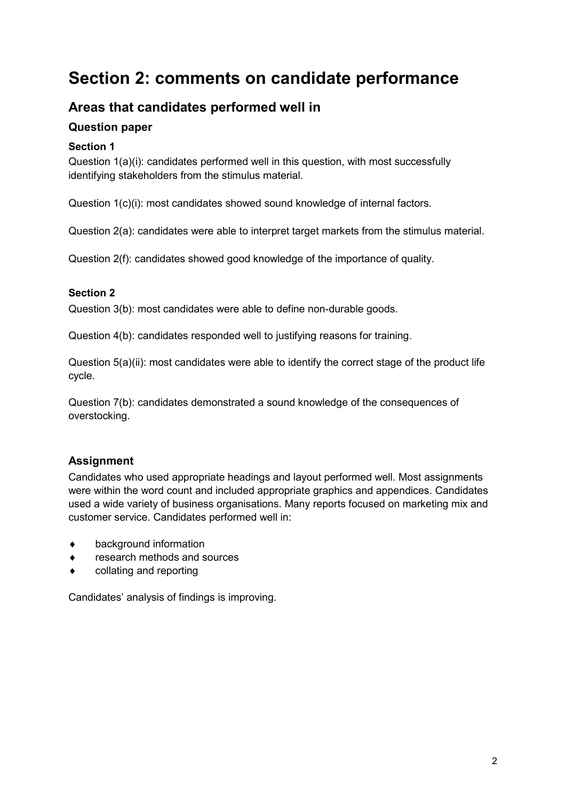## **Section 2: comments on candidate performance**

### **Areas that candidates performed well in**

#### **Question paper**

#### **Section 1**

Question 1(a)(i): candidates performed well in this question, with most successfully identifying stakeholders from the stimulus material.

Question 1(c)(i): most candidates showed sound knowledge of internal factors.

Question 2(a): candidates were able to interpret target markets from the stimulus material.

Question 2(f): candidates showed good knowledge of the importance of quality.

#### **Section 2**

Question 3(b): most candidates were able to define non-durable goods.

Question 4(b): candidates responded well to justifying reasons for training.

Question 5(a)(ii): most candidates were able to identify the correct stage of the product life cycle.

Question 7(b): candidates demonstrated a sound knowledge of the consequences of overstocking.

#### **Assignment**

Candidates who used appropriate headings and layout performed well. Most assignments were within the word count and included appropriate graphics and appendices. Candidates used a wide variety of business organisations. Many reports focused on marketing mix and customer service. Candidates performed well in:

- ♦ background information
- research methods and sources
- ♦ collating and reporting

Candidates' analysis of findings is improving.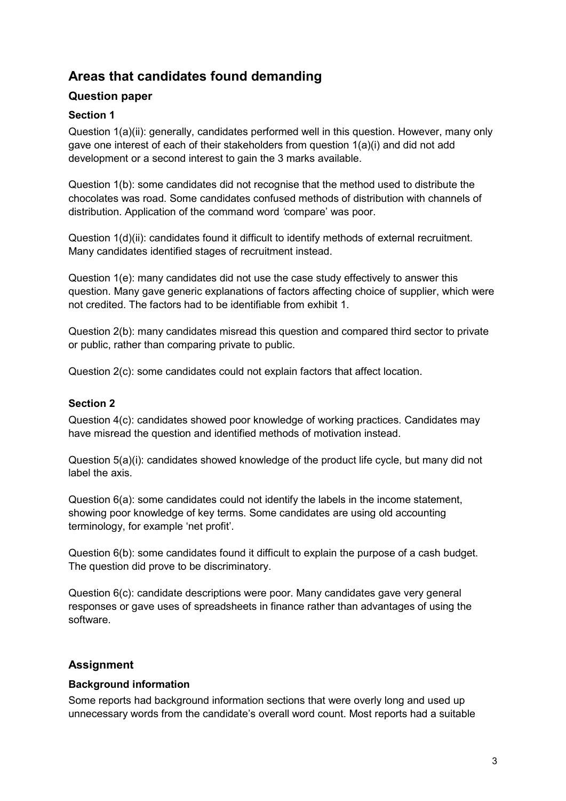### **Areas that candidates found demanding**

#### **Question paper**

#### **Section 1**

Question 1(a)(ii): generally, candidates performed well in this question. However, many only gave one interest of each of their stakeholders from question 1(a)(i) and did not add development or a second interest to gain the 3 marks available.

Question 1(b): some candidates did not recognise that the method used to distribute the chocolates was road. Some candidates confused methods of distribution with channels of distribution. Application of the command word *'*compare' was poor.

Question 1(d)(ii): candidates found it difficult to identify methods of external recruitment. Many candidates identified stages of recruitment instead.

Question 1(e): many candidates did not use the case study effectively to answer this question. Many gave generic explanations of factors affecting choice of supplier, which were not credited. The factors had to be identifiable from exhibit 1.

Question 2(b): many candidates misread this question and compared third sector to private or public, rather than comparing private to public.

Question 2(c): some candidates could not explain factors that affect location.

#### **Section 2**

Question 4(c): candidates showed poor knowledge of working practices. Candidates may have misread the question and identified methods of motivation instead.

Question 5(a)(i): candidates showed knowledge of the product life cycle, but many did not label the axis.

Question 6(a): some candidates could not identify the labels in the income statement, showing poor knowledge of key terms. Some candidates are using old accounting terminology, for example 'net profit'.

Question 6(b): some candidates found it difficult to explain the purpose of a cash budget. The question did prove to be discriminatory.

Question 6(c): candidate descriptions were poor. Many candidates gave very general responses or gave uses of spreadsheets in finance rather than advantages of using the software.

#### **Assignment**

#### **Background information**

Some reports had background information sections that were overly long and used up unnecessary words from the candidate's overall word count. Most reports had a suitable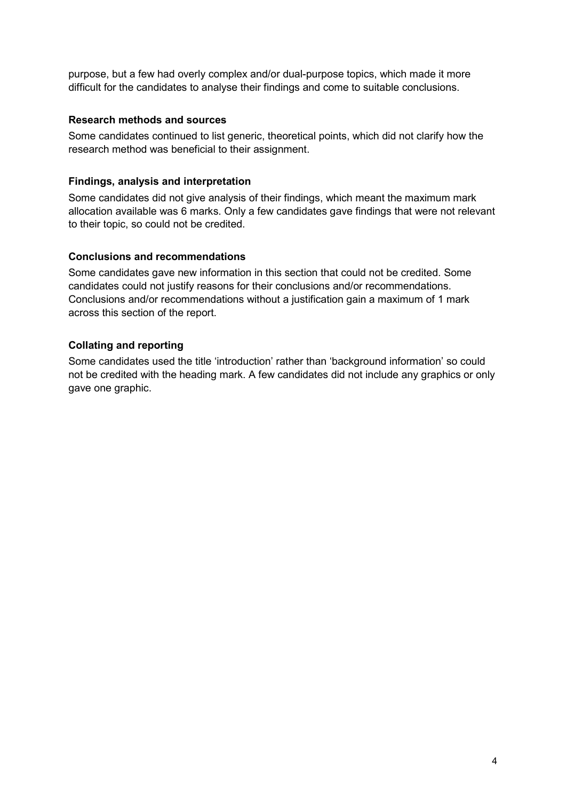purpose, but a few had overly complex and/or dual-purpose topics, which made it more difficult for the candidates to analyse their findings and come to suitable conclusions.

#### **Research methods and sources**

Some candidates continued to list generic, theoretical points, which did not clarify how the research method was beneficial to their assignment.

#### **Findings, analysis and interpretation**

Some candidates did not give analysis of their findings, which meant the maximum mark allocation available was 6 marks. Only a few candidates gave findings that were not relevant to their topic, so could not be credited.

#### **Conclusions and recommendations**

Some candidates gave new information in this section that could not be credited. Some candidates could not justify reasons for their conclusions and/or recommendations. Conclusions and/or recommendations without a justification gain a maximum of 1 mark across this section of the report.

#### **Collating and reporting**

Some candidates used the title 'introduction' rather than 'background information' so could not be credited with the heading mark. A few candidates did not include any graphics or only gave one graphic.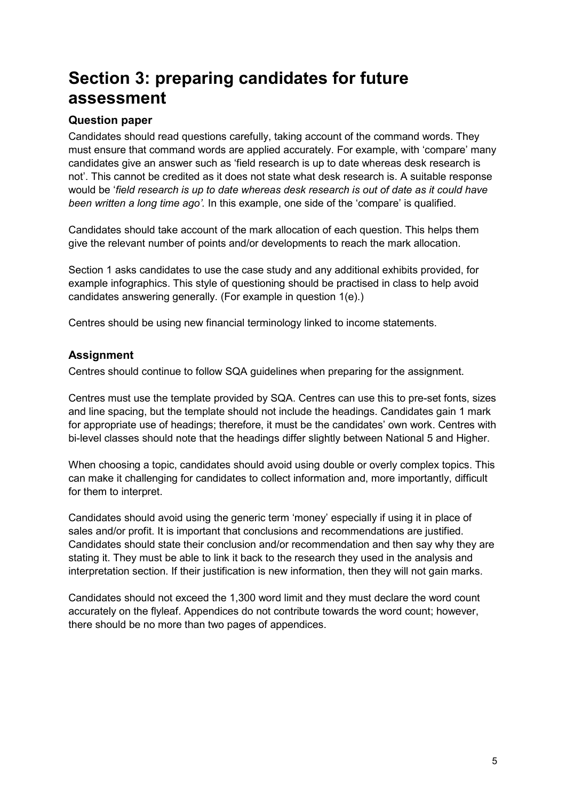## **Section 3: preparing candidates for future assessment**

#### **Question paper**

Candidates should read questions carefully, taking account of the command words. They must ensure that command words are applied accurately. For example, with 'compare' many candidates give an answer such as 'field research is up to date whereas desk research is not'. This cannot be credited as it does not state what desk research is. A suitable response would be '*field research is up to date whereas desk research is out of date as it could have been written a long time ago'.* In this example, one side of the 'compare' is qualified.

Candidates should take account of the mark allocation of each question. This helps them give the relevant number of points and/or developments to reach the mark allocation.

Section 1 asks candidates to use the case study and any additional exhibits provided, for example infographics. This style of questioning should be practised in class to help avoid candidates answering generally. (For example in question 1(e).)

Centres should be using new financial terminology linked to income statements.

#### **Assignment**

Centres should continue to follow SQA guidelines when preparing for the assignment.

Centres must use the template provided by SQA. Centres can use this to pre-set fonts, sizes and line spacing, but the template should not include the headings. Candidates gain 1 mark for appropriate use of headings; therefore, it must be the candidates' own work. Centres with bi-level classes should note that the headings differ slightly between National 5 and Higher.

When choosing a topic, candidates should avoid using double or overly complex topics. This can make it challenging for candidates to collect information and, more importantly, difficult for them to interpret.

Candidates should avoid using the generic term 'money' especially if using it in place of sales and/or profit. It is important that conclusions and recommendations are justified. Candidates should state their conclusion and/or recommendation and then say why they are stating it. They must be able to link it back to the research they used in the analysis and interpretation section. If their justification is new information, then they will not gain marks.

Candidates should not exceed the 1,300 word limit and they must declare the word count accurately on the flyleaf. Appendices do not contribute towards the word count; however, there should be no more than two pages of appendices.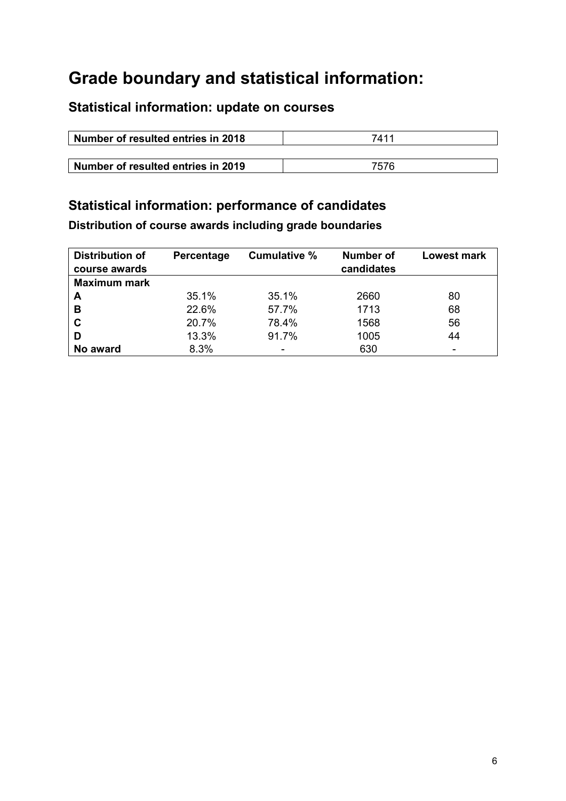## **Grade boundary and statistical information:**

## **Statistical information: update on courses**

| Number of resulted entries in 2018 | 7411 |
|------------------------------------|------|
|                                    |      |
| Number of resulted entries in 2019 | 7576 |

## **Statistical information: performance of candidates**

**Distribution of course awards including grade boundaries**

| <b>Distribution of</b><br>course awards | Percentage | Cumulative % | <b>Number of</b><br>candidates | <b>Lowest mark</b> |
|-----------------------------------------|------------|--------------|--------------------------------|--------------------|
| <b>Maximum mark</b>                     |            |              |                                |                    |
| A                                       | 35.1%      | 35.1%        | 2660                           | 80                 |
| В                                       | 22.6%      | 57.7%        | 1713                           | 68                 |
| C                                       | 20.7%      | 78.4%        | 1568                           | 56                 |
| D                                       | 13.3%      | 91.7%        | 1005                           | 44                 |
| No award                                | 8.3%       | -            | 630                            |                    |